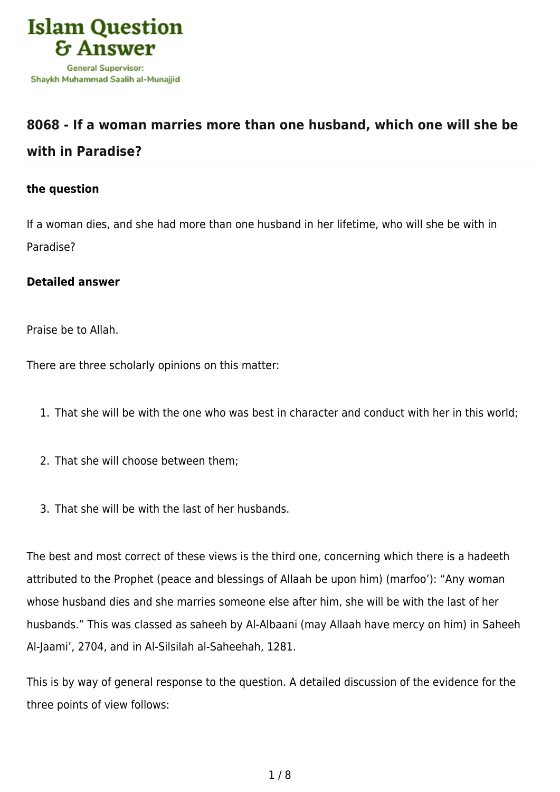

## **[8068 - If a woman marries more than one husband, which one will she be](https://islamqa.com/en/answers/8068/if-a-woman-marries-more-than-one-husband-which-one-will-she-be-with-in-paradise) [with in Paradise?](https://islamqa.com/en/answers/8068/if-a-woman-marries-more-than-one-husband-which-one-will-she-be-with-in-paradise)**

## **the question**

If a woman dies, and she had more than one husband in her lifetime, who will she be with in Paradise?

## **Detailed answer**

Praise be to Allah.

There are three scholarly opinions on this matter:

- 1. That she will be with the one who was best in character and conduct with her in this world;
- 2. That she will choose between them;
- 3. That she will be with the last of her husbands.

The best and most correct of these views is the third one, concerning which there is a hadeeth attributed to the Prophet (peace and blessings of Allaah be upon him) (marfoo'): "Any woman whose husband dies and she marries someone else after him, she will be with the last of her husbands." This was classed as saheeh by Al-Albaani (may Allaah have mercy on him) in Saheeh Al-Jaami', 2704, and in Al-Silsilah al-Saheehah, 1281.

This is by way of general response to the question. A detailed discussion of the evidence for the three points of view follows: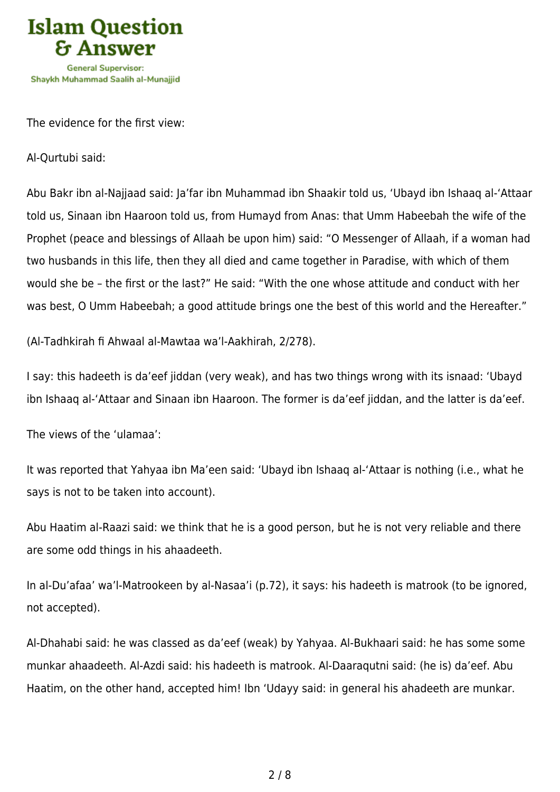

The evidence for the first view:

Al-Qurtubi said:

Abu Bakr ibn al-Najjaad said: Ja'far ibn Muhammad ibn Shaakir told us, 'Ubayd ibn Ishaaq al-'Attaar told us, Sinaan ibn Haaroon told us, from Humayd from Anas: that Umm Habeebah the wife of the Prophet (peace and blessings of Allaah be upon him) said: "O Messenger of Allaah, if a woman had two husbands in this life, then they all died and came together in Paradise, with which of them would she be – the first or the last?" He said: "With the one whose attitude and conduct with her was best, O Umm Habeebah; a good attitude brings one the best of this world and the Hereafter."

(Al-Tadhkirah fi Ahwaal al-Mawtaa wa'l-Aakhirah, 2/278).

I say: this hadeeth is da'eef jiddan (very weak), and has two things wrong with its isnaad: 'Ubayd ibn Ishaaq al-'Attaar and Sinaan ibn Haaroon. The former is da'eef jiddan, and the latter is da'eef.

The views of the 'ulamaa':

It was reported that Yahyaa ibn Ma'een said: 'Ubayd ibn Ishaaq al-'Attaar is nothing (i.e., what he says is not to be taken into account).

Abu Haatim al-Raazi said: we think that he is a good person, but he is not very reliable and there are some odd things in his ahaadeeth.

In al-Du'afaa' wa'l-Matrookeen by al-Nasaa'i (p.72), it says: his hadeeth is matrook (to be ignored, not accepted).

Al-Dhahabi said: he was classed as da'eef (weak) by Yahyaa. Al-Bukhaari said: he has some some munkar ahaadeeth. Al-Azdi said: his hadeeth is matrook. Al-Daaraqutni said: (he is) da'eef. Abu Haatim, on the other hand, accepted him! Ibn 'Udayy said: in general his ahadeeth are munkar.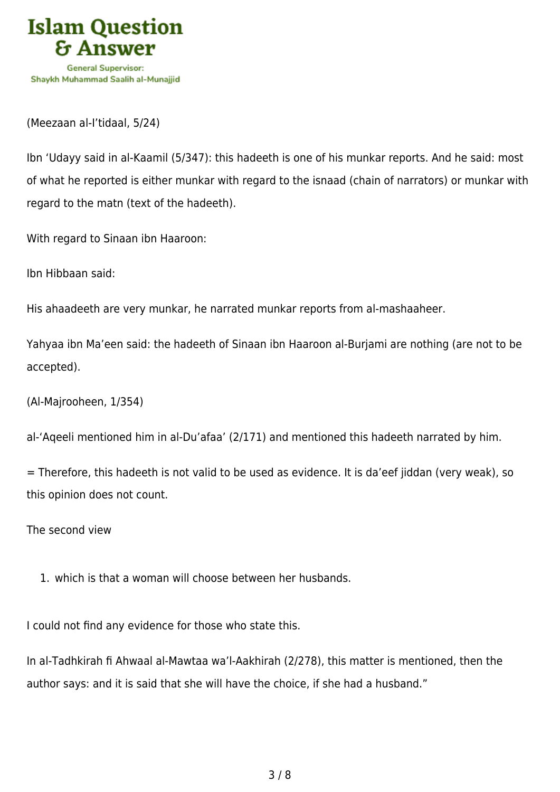

(Meezaan al-I'tidaal, 5/24)

Ibn 'Udayy said in al-Kaamil (5/347): this hadeeth is one of his munkar reports. And he said: most of what he reported is either munkar with regard to the isnaad (chain of narrators) or munkar with regard to the matn (text of the hadeeth).

With regard to Sinaan ibn Haaroon:

Ibn Hibbaan said:

His ahaadeeth are very munkar, he narrated munkar reports from al-mashaaheer.

Yahyaa ibn Ma'een said: the hadeeth of Sinaan ibn Haaroon al-Burjami are nothing (are not to be accepted).

(Al-Majrooheen, 1/354)

al-'Aqeeli mentioned him in al-Du'afaa' (2/171) and mentioned this hadeeth narrated by him.

= Therefore, this hadeeth is not valid to be used as evidence. It is da'eef jiddan (very weak), so this opinion does not count.

The second view

1. which is that a woman will choose between her husbands.

I could not find any evidence for those who state this.

In al-Tadhkirah fi Ahwaal al-Mawtaa wa'l-Aakhirah (2/278), this matter is mentioned, then the author says: and it is said that she will have the choice, if she had a husband."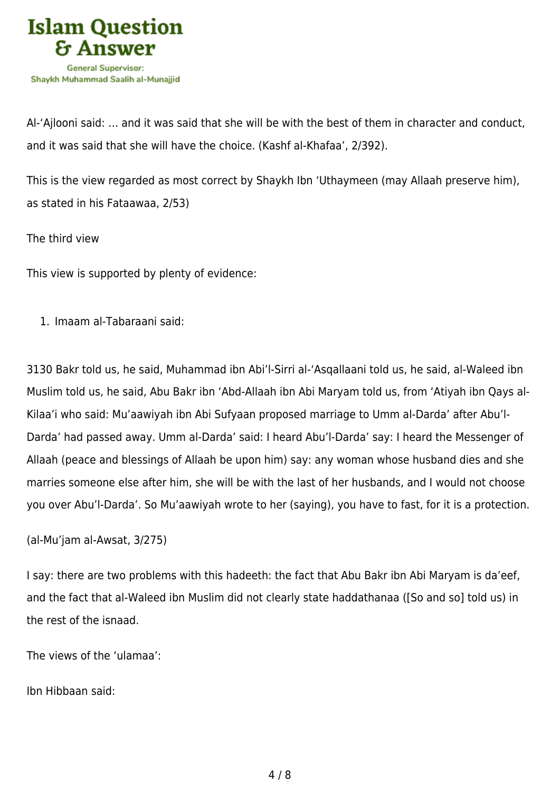

Al-'Ajlooni said: … and it was said that she will be with the best of them in character and conduct, and it was said that she will have the choice. (Kashf al-Khafaa', 2/392).

This is the view regarded as most correct by Shaykh Ibn 'Uthaymeen (may Allaah preserve him), as stated in his Fataawaa, 2/53)

The third view

This view is supported by plenty of evidence:

1. Imaam al-Tabaraani said:

3130 Bakr told us, he said, Muhammad ibn Abi'l-Sirri al-'Asqallaani told us, he said, al-Waleed ibn Muslim told us, he said, Abu Bakr ibn 'Abd-Allaah ibn Abi Maryam told us, from 'Atiyah ibn Qays al-Kilaa'i who said: Mu'aawiyah ibn Abi Sufyaan proposed marriage to Umm al-Darda' after Abu'l-Darda' had passed away. Umm al-Darda' said: I heard Abu'l-Darda' say: I heard the Messenger of Allaah (peace and blessings of Allaah be upon him) say: any woman whose husband dies and she marries someone else after him, she will be with the last of her husbands, and I would not choose you over Abu'l-Darda'. So Mu'aawiyah wrote to her (saying), you have to fast, for it is a protection.

(al-Mu'jam al-Awsat, 3/275)

I say: there are two problems with this hadeeth: the fact that Abu Bakr ibn Abi Maryam is da'eef, and the fact that al-Waleed ibn Muslim did not clearly state haddathanaa ([So and so] told us) in the rest of the isnaad.

The views of the 'ulamaa':

Ibn Hibbaan said: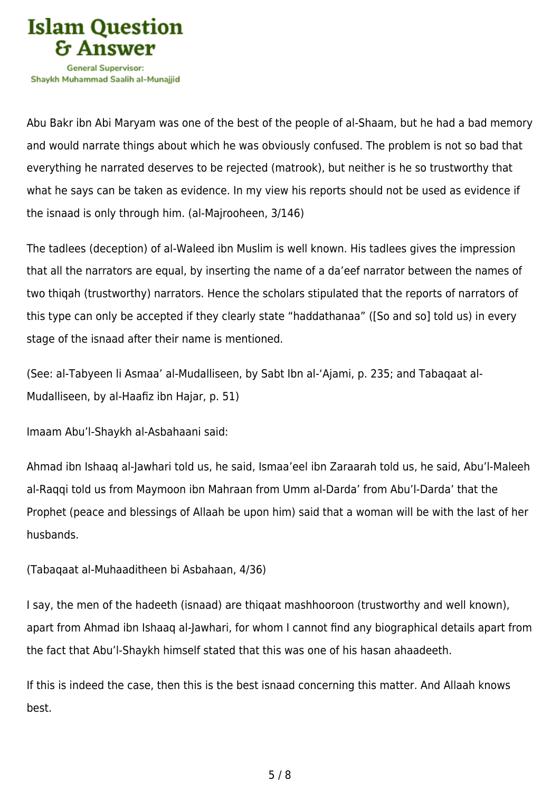

Abu Bakr ibn Abi Maryam was one of the best of the people of al-Shaam, but he had a bad memory and would narrate things about which he was obviously confused. The problem is not so bad that everything he narrated deserves to be rejected (matrook), but neither is he so trustworthy that what he says can be taken as evidence. In my view his reports should not be used as evidence if the isnaad is only through him. (al-Majrooheen, 3/146)

The tadlees (deception) of al-Waleed ibn Muslim is well known. His tadlees gives the impression that all the narrators are equal, by inserting the name of a da'eef narrator between the names of two thiqah (trustworthy) narrators. Hence the scholars stipulated that the reports of narrators of this type can only be accepted if they clearly state "haddathanaa" ([So and so] told us) in every stage of the isnaad after their name is mentioned.

(See: al-Tabyeen li Asmaa' al-Mudalliseen, by Sabt Ibn al-'Ajami, p. 235; and Tabaqaat al-Mudalliseen, by al-Haafiz ibn Hajar, p. 51)

Imaam Abu'l-Shaykh al-Asbahaani said:

Ahmad ibn Ishaaq al-Jawhari told us, he said, Ismaa'eel ibn Zaraarah told us, he said, Abu'l-Maleeh al-Raqqi told us from Maymoon ibn Mahraan from Umm al-Darda' from Abu'l-Darda' that the Prophet (peace and blessings of Allaah be upon him) said that a woman will be with the last of her husbands.

(Tabaqaat al-Muhaaditheen bi Asbahaan, 4/36)

I say, the men of the hadeeth (isnaad) are thiqaat mashhooroon (trustworthy and well known), apart from Ahmad ibn Ishaaq al-Jawhari, for whom I cannot find any biographical details apart from the fact that Abu'l-Shaykh himself stated that this was one of his hasan ahaadeeth.

If this is indeed the case, then this is the best isnaad concerning this matter. And Allaah knows best.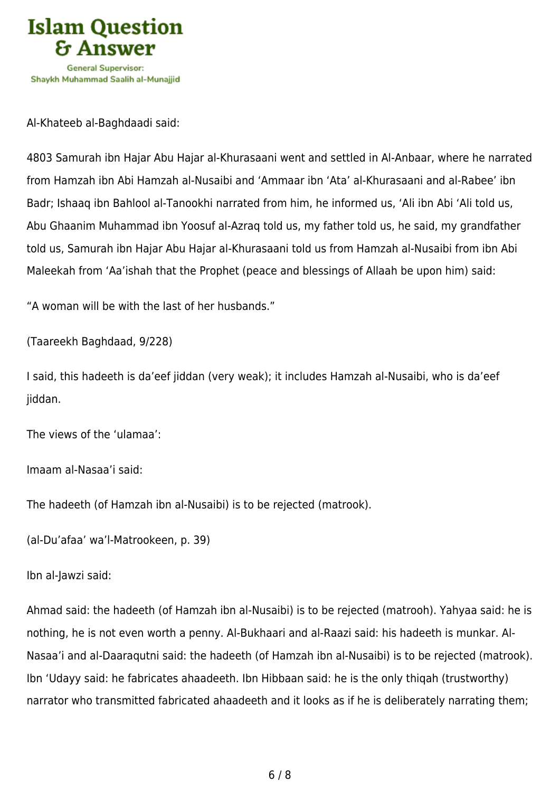

Al-Khateeb al-Baghdaadi said:

4803 Samurah ibn Hajar Abu Hajar al-Khurasaani went and settled in Al-Anbaar, where he narrated from Hamzah ibn Abi Hamzah al-Nusaibi and 'Ammaar ibn 'Ata' al-Khurasaani and al-Rabee' ibn Badr; Ishaaq ibn Bahlool al-Tanookhi narrated from him, he informed us, 'Ali ibn Abi 'Ali told us, Abu Ghaanim Muhammad ibn Yoosuf al-Azraq told us, my father told us, he said, my grandfather told us, Samurah ibn Hajar Abu Hajar al-Khurasaani told us from Hamzah al-Nusaibi from ibn Abi Maleekah from 'Aa'ishah that the Prophet (peace and blessings of Allaah be upon him) said:

"A woman will be with the last of her husbands."

(Taareekh Baghdaad, 9/228)

I said, this hadeeth is da'eef jiddan (very weak); it includes Hamzah al-Nusaibi, who is da'eef jiddan.

The views of the 'ulamaa':

Imaam al-Nasaa'i said:

The hadeeth (of Hamzah ibn al-Nusaibi) is to be rejected (matrook).

(al-Du'afaa' wa'l-Matrookeen, p. 39)

Ibn al-Jawzi said:

Ahmad said: the hadeeth (of Hamzah ibn al-Nusaibi) is to be rejected (matrooh). Yahyaa said: he is nothing, he is not even worth a penny. Al-Bukhaari and al-Raazi said: his hadeeth is munkar. Al-Nasaa'i and al-Daaraqutni said: the hadeeth (of Hamzah ibn al-Nusaibi) is to be rejected (matrook). Ibn 'Udayy said: he fabricates ahaadeeth. Ibn Hibbaan said: he is the only thiqah (trustworthy) narrator who transmitted fabricated ahaadeeth and it looks as if he is deliberately narrating them;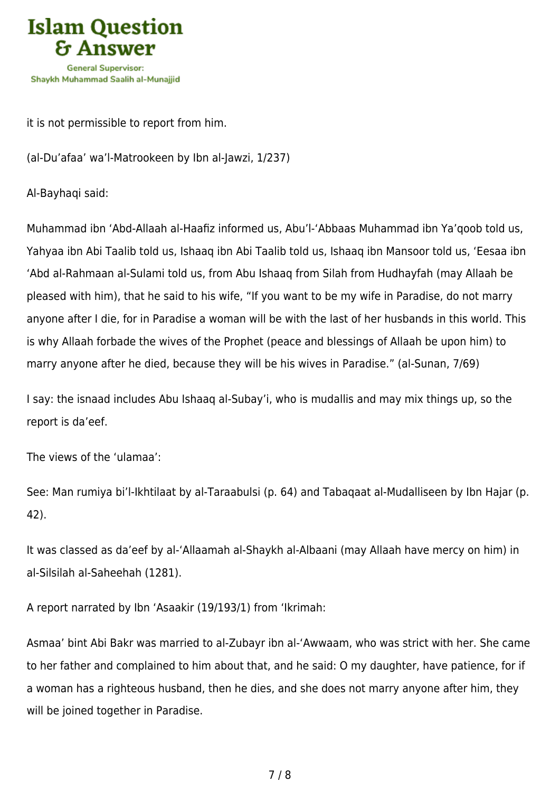

it is not permissible to report from him.

(al-Du'afaa' wa'l-Matrookeen by Ibn al-Jawzi, 1/237)

Al-Bayhaqi said:

Muhammad ibn 'Abd-Allaah al-Haafiz informed us, Abu'l-'Abbaas Muhammad ibn Ya'qoob told us, Yahyaa ibn Abi Taalib told us, Ishaaq ibn Abi Taalib told us, Ishaaq ibn Mansoor told us, 'Eesaa ibn 'Abd al-Rahmaan al-Sulami told us, from Abu Ishaaq from Silah from Hudhayfah (may Allaah be pleased with him), that he said to his wife, "If you want to be my wife in Paradise, do not marry anyone after I die, for in Paradise a woman will be with the last of her husbands in this world. This is why Allaah forbade the wives of the Prophet (peace and blessings of Allaah be upon him) to marry anyone after he died, because they will be his wives in Paradise." (al-Sunan, 7/69)

I say: the isnaad includes Abu Ishaaq al-Subay'i, who is mudallis and may mix things up, so the report is da'eef.

The views of the 'ulamaa':

See: Man rumiya bi'l-Ikhtilaat by al-Taraabulsi (p. 64) and Tabaqaat al-Mudalliseen by Ibn Hajar (p. 42).

It was classed as da'eef by al-'Allaamah al-Shaykh al-Albaani (may Allaah have mercy on him) in al-Silsilah al-Saheehah (1281).

A report narrated by Ibn 'Asaakir (19/193/1) from 'Ikrimah:

Asmaa' bint Abi Bakr was married to al-Zubayr ibn al-'Awwaam, who was strict with her. She came to her father and complained to him about that, and he said: O my daughter, have patience, for if a woman has a righteous husband, then he dies, and she does not marry anyone after him, they will be joined together in Paradise.